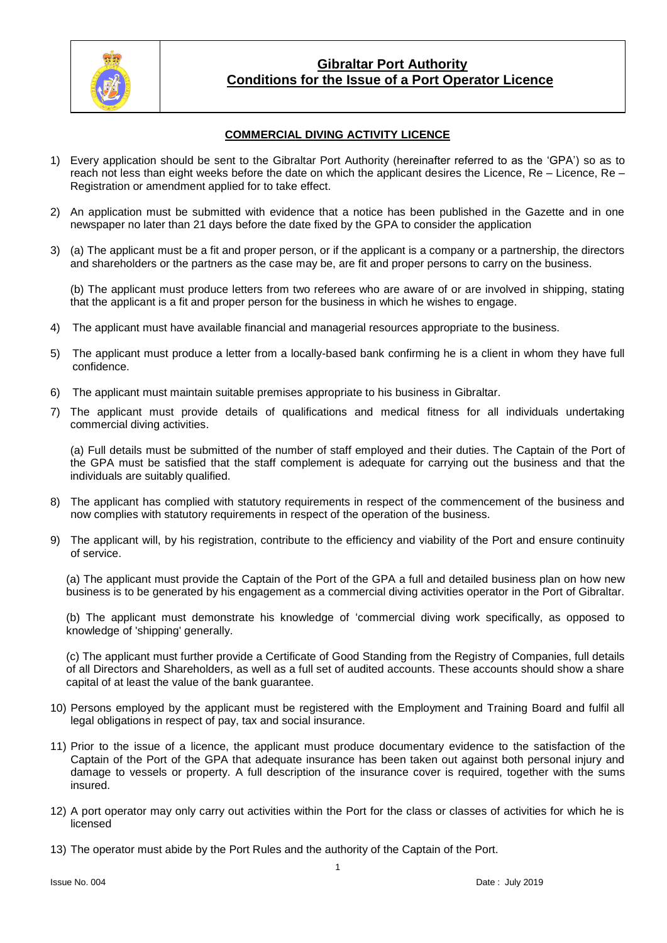

### **Gibraltar Port Authority Conditions for the Issue of a Port Operator Licence**

### **COMMERCIAL DIVING ACTIVITY LICENCE**

- 1) Every application should be sent to the Gibraltar Port Authority (hereinafter referred to as the 'GPA') so as to reach not less than eight weeks before the date on which the applicant desires the Licence, Re – Licence, Re – Registration or amendment applied for to take effect.
- 2) An application must be submitted with evidence that a notice has been published in the Gazette and in one newspaper no later than 21 days before the date fixed by the GPA to consider the application
- 3) (a) The applicant must be a fit and proper person, or if the applicant is a company or a partnership, the directors and shareholders or the partners as the case may be, are fit and proper persons to carry on the business.

(b) The applicant must produce letters from two referees who are aware of or are involved in shipping, stating that the applicant is a fit and proper person for the business in which he wishes to engage.

- 4) The applicant must have available financial and managerial resources appropriate to the business.
- 5) The applicant must produce a letter from a locally-based bank confirming he is a client in whom they have full confidence.
- 6) The applicant must maintain suitable premises appropriate to his business in Gibraltar.
- 7) The applicant must provide details of qualifications and medical fitness for all individuals undertaking commercial diving activities.

(a) Full details must be submitted of the number of staff employed and their duties. The Captain of the Port of the GPA must be satisfied that the staff complement is adequate for carrying out the business and that the individuals are suitably qualified.

- 8) The applicant has complied with statutory requirements in respect of the commencement of the business and now complies with statutory requirements in respect of the operation of the business.
- 9) The applicant will, by his registration, contribute to the efficiency and viability of the Port and ensure continuity of service.

(a) The applicant must provide the Captain of the Port of the GPA a full and detailed business plan on how new business is to be generated by his engagement as a commercial diving activities operator in the Port of Gibraltar.

(b) The applicant must demonstrate his knowledge of 'commercial diving work specifically, as opposed to knowledge of 'shipping' generally.

(c) The applicant must further provide a Certificate of Good Standing from the Registry of Companies, full details of all Directors and Shareholders, as well as a full set of audited accounts. These accounts should show a share capital of at least the value of the bank guarantee.

- 10) Persons employed by the applicant must be registered with the Employment and Training Board and fulfil all legal obligations in respect of pay, tax and social insurance.
- 11) Prior to the issue of a licence, the applicant must produce documentary evidence to the satisfaction of the Captain of the Port of the GPA that adequate insurance has been taken out against both personal injury and damage to vessels or property. A full description of the insurance cover is required, together with the sums insured.
- 12) A port operator may only carry out activities within the Port for the class or classes of activities for which he is licensed
- 13) The operator must abide by the Port Rules and the authority of the Captain of the Port.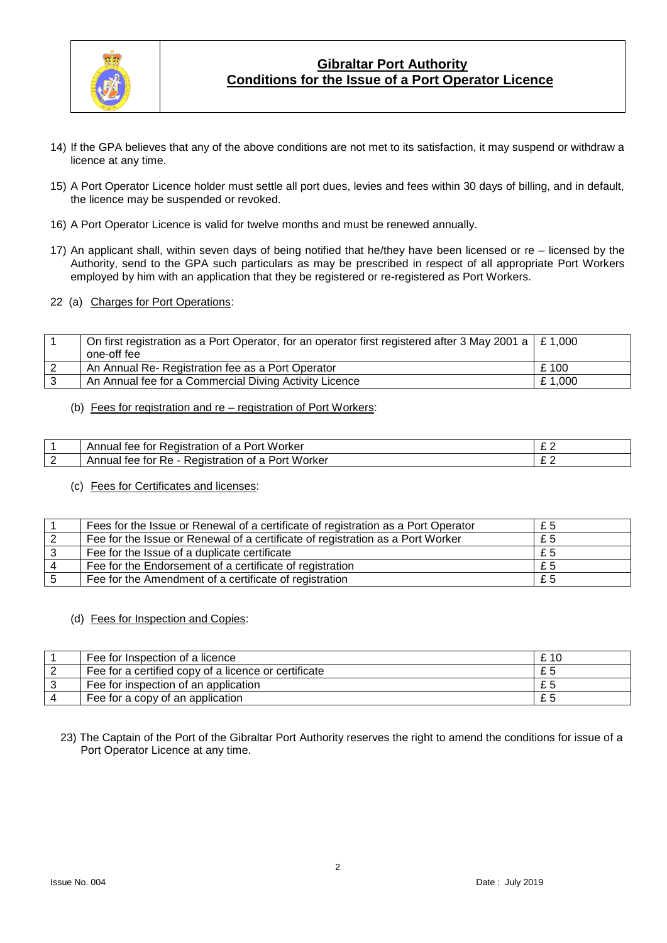

# **Gibraltar Port Authority Conditions for the Issue of a Port Operator Licence**

- 14) If the GPA believes that any of the above conditions are not met to its satisfaction, it may suspend or withdraw a licence at any time.
- 15) A Port Operator Licence holder must settle all port dues, levies and fees within 30 days of billing, and in default, the licence may be suspended or revoked.
- 16) A Port Operator Licence is valid for twelve months and must be renewed annually.
- 17) An applicant shall, within seven days of being notified that he/they have been licensed or re licensed by the Authority, send to the GPA such particulars as may be prescribed in respect of all appropriate Port Workers employed by him with an application that they be registered or re-registered as Port Workers.
- 22 (a) Charges for Port Operations:

| On first registration as a Port Operator, for an operator first registered after 3 May 2001 a $\mid$ £ 1,000 |        |
|--------------------------------------------------------------------------------------------------------------|--------|
| one-off fee                                                                                                  |        |
| An Annual Re- Registration fee as a Port Operator                                                            | £100   |
| An Annual fee for a Commercial Diving Activity Licence                                                       | £1,000 |

(b) Fees for registration and re – registration of Port Workers:

|   | Worker<br>---<br>Annua <sub>r</sub><br>stratior<br>tor<br>tee.<br>OIS.<br>∩ī<br>ורי<br>R PL | - |
|---|---------------------------------------------------------------------------------------------|---|
| - | Port<br>Worker<br>tee<br>tor<br>tration<br>Annuai<br>ĸe.<br>≺eɑıstr<br>Οt<br>-<br>ີ         | - |

(c) Fees for Certificates and licenses:

| Fees for the Issue or Renewal of a certificate of registration as a Port Operator | £5 |
|-----------------------------------------------------------------------------------|----|
| Fee for the Issue or Renewal of a certificate of registration as a Port Worker    | £5 |
| Fee for the Issue of a duplicate certificate                                      | £5 |
| Fee for the Endorsement of a certificate of registration                          | £5 |
| Fee for the Amendment of a certificate of registration                            | £5 |

#### (d) Fees for Inspection and Copies:

| Fee for Inspection of a licence                      | £ 10 |
|------------------------------------------------------|------|
| Fee for a certified copy of a licence or certificate | £5   |
| Fee for inspection of an application                 | £5   |
| Fee for a copy of an application                     | £5   |

23) The Captain of the Port of the Gibraltar Port Authority reserves the right to amend the conditions for issue of a Port Operator Licence at any time.